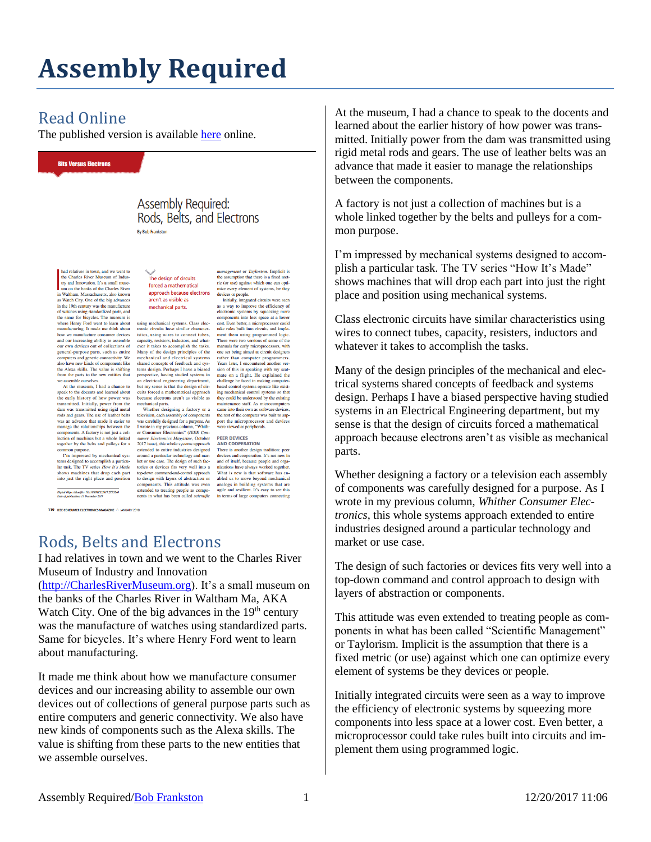## **Assembly Required**

## Read Online

The published version is available [here](http://online.qmags.com/CE0118?sessionID=6C1AE0ECBF0E507DE803A8FDF&cid=2533555&eid=20455#pg112&mode2?fs=2&pg=112&mode=2) online.

**Bits Versus Electrons** 

**Assembly Required:** Rods, Belts, and Electrons

had relatives in town, and we went to<br>the Charles River Museum of Indus-<br>try and Innovation. It's a small muse-<br>um on the banks of the Charles River<br>Waltham, Massachusetts, also known Wattham, Massachusetts, also known<br>Watch City. One of the big advances as watch City. One of the ofg advances<br>in the 19th century was the manufacture<br>of watches using standardized parts, and<br>the same for bicycles. The museum is where Henry Ford went to learn about<br>manufacturing. It made me think about how we manufacture consumer devices and our increasing ability to assemble our own devices out of collections of general-purpose parts, such as entire computers and generic connectivity. We<br>also have new kinds of components like the Alexa skills. The value is shifting<br>from the parts to the new entities that

from the parts to the new entities that<br>we assemble ourselves. At the museum, I had a chance to<br> $\frac{1}{2}$  a At the museum, I had a chance to<br>the early history of how power from the<br>transmitted. Initially, power from the<br>d common purpose.<br>
Tm impressed by mechanical sys-

tems designed to accomplish a particular task. The TV series How It's Made shows machines that drop each part<br>into just the right place and position

-<br>Digital Object Idoutfier 10,1109/MCE.2017.2755240<br>Date of publication: 13 December 2017

110 IEEE CONSUMER ELECTRONICS MAGAZINE A JANUARY 2018

The design of circuits forced a mathematical approach because electrons aren't as visible as mechanical parts.

using mechanical systems. Class electronic circuits have similar characteristics, using wires to connect tubes, capacity, resistors, inductors, and whatever it takes to accomplish the tasks. Many of the design principles of the mechanical and electrical systems<br>shared concepts of feedback and sys-

ncentaurian and execution a ystems<br>and concepts of feedback and systems design. Perhaps I have a biased perspective, having studied systems in<br>an electrical expirements are perspective, having studied systems in<br>an electr around a particular technology and market or use case. The design of such factories or devices fits very well into a

management or *Taylorism*. Implicit is<br>the assumption that there is a fixed metric or use) against which one can optimative<br>increase propele.<br>mize every element of systems, be they<br>leves or propel.<br>Initially, imegrated ci

cost. Even better, a microprocessor could<br>take rules built into circuits and implement them using programmed logic. There were two versions of some of the manuals for early microprocessors, with one set being aimed at circuit designers rather than computer programmers<br>Years later, I encountered another ver Years later, I encountered another versions sion of this in speaking with my scalar<br>and on a flight. He explained the challenge he faced in making computer<br>based control systems operate like existing mechanical control sy

## **PEER DEVICES<br>AND COOPERATION**

There is another design tradition: peer devices and cooperation. It's not new in<br>and of itself, because people and organizations have always worked together. toricism and control approach What is new is that so that the top-down command-and-control approach What is new is that software has entour of proposed in the state of the state components. This attitude was even a nanlog in terms of large comp

Rods, Belts and Electrons

I had relatives in town and we went to the Charles River Museum of Industry and Innovation

[\(http://CharlesRiverMuseum.org\)](http://charlesrivermuseum.org/). It's a small museum on the banks of the Charles River in Waltham Ma, AKA Watch City. One of the big advances in the  $19<sup>th</sup>$  century was the manufacture of watches using standardized parts. Same for bicycles. It's where Henry Ford went to learn about manufacturing.

It made me think about how we manufacture consumer devices and our increasing ability to assemble our own devices out of collections of general purpose parts such as entire computers and generic connectivity. We also have new kinds of components such as the Alexa skills. The value is shifting from these parts to the new entities that we assemble ourselves.

At the museum, I had a chance to speak to the docents and learned about the earlier history of how power was transmitted. Initially power from the dam was transmitted using rigid metal rods and gears. The use of leather belts was an advance that made it easier to manage the relationships between the components.

A factory is not just a collection of machines but is a whole linked together by the belts and pulleys for a common purpose.

I'm impressed by mechanical systems designed to accomplish a particular task. The TV series "How It's Made" shows machines that will drop each part into just the right place and position using mechanical systems.

Class electronic circuits have similar characteristics using wires to connect tubes, capacity, resisters, inductors and whatever it takes to accomplish the tasks.

Many of the design principles of the mechanical and electrical systems shared concepts of feedback and systems design. Perhaps I have a biased perspective having studied systems in an Electrical Engineering department, but my sense is that the design of circuits forced a mathematical approach because electrons aren't as visible as mechanical parts.

Whether designing a factory or a television each assembly of components was carefully designed for a purpose. As I wrote in my previous column, *Whither Consumer Electronics*, this whole systems approach extended to entire industries designed around a particular technology and market or use case.

The design of such factories or devices fits very well into a top-down command and control approach to design with layers of abstraction or components.

This attitude was even extended to treating people as components in what has been called "Scientific Management" or Taylorism. Implicit is the assumption that there is a fixed metric (or use) against which one can optimize every element of systems be they devices or people.

Initially integrated circuits were seen as a way to improve the efficiency of electronic systems by squeezing more components into less space at a lower cost. Even better, a microprocessor could take rules built into circuits and implement them using programmed logic.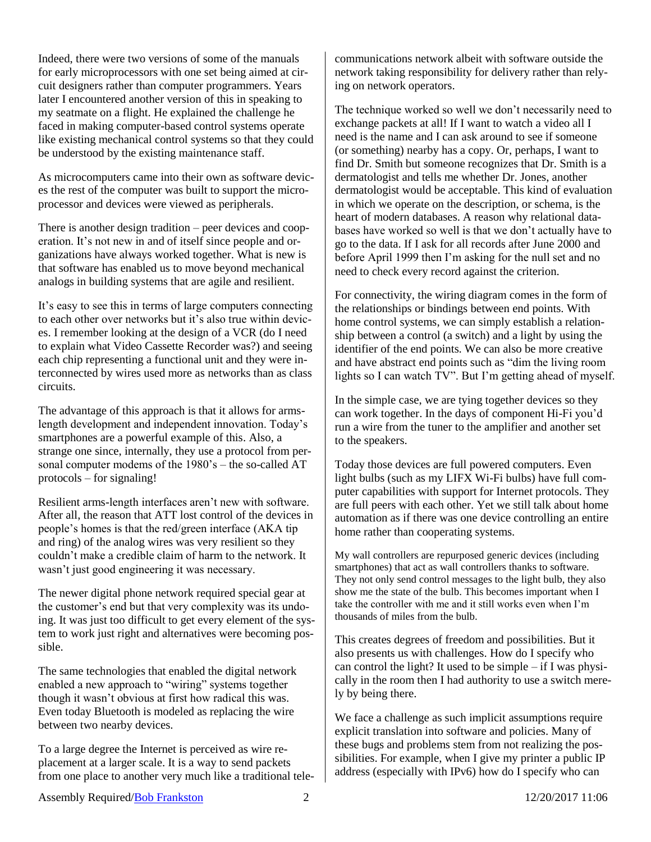Indeed, there were two versions of some of the manuals for early microprocessors with one set being aimed at circuit designers rather than computer programmers. Years later I encountered another version of this in speaking to my seatmate on a flight. He explained the challenge he faced in making computer-based control systems operate like existing mechanical control systems so that they could be understood by the existing maintenance staff.

As microcomputers came into their own as software devices the rest of the computer was built to support the microprocessor and devices were viewed as peripherals.

There is another design tradition – peer devices and cooperation. It's not new in and of itself since people and organizations have always worked together. What is new is that software has enabled us to move beyond mechanical analogs in building systems that are agile and resilient.

It's easy to see this in terms of large computers connecting to each other over networks but it's also true within devices. I remember looking at the design of a VCR (do I need to explain what Video Cassette Recorder was?) and seeing each chip representing a functional unit and they were interconnected by wires used more as networks than as class circuits.

The advantage of this approach is that it allows for armslength development and independent innovation. Today's smartphones are a powerful example of this. Also, a strange one since, internally, they use a protocol from personal computer modems of the 1980's – the so-called AT protocols – for signaling!

Resilient arms-length interfaces aren't new with software. After all, the reason that ATT lost control of the devices in people's homes is that the red/green interface (AKA tip and ring) of the analog wires was very resilient so they couldn't make a credible claim of harm to the network. It wasn't just good engineering it was necessary.

The newer digital phone network required special gear at the customer's end but that very complexity was its undoing. It was just too difficult to get every element of the system to work just right and alternatives were becoming possible.

The same technologies that enabled the digital network enabled a new approach to "wiring" systems together though it wasn't obvious at first how radical this was. Even today Bluetooth is modeled as replacing the wire between two nearby devices.

To a large degree the Internet is perceived as wire replacement at a larger scale. It is a way to send packets from one place to another very much like a traditional telecommunications network albeit with software outside the network taking responsibility for delivery rather than relying on network operators.

The technique worked so well we don't necessarily need to exchange packets at all! If I want to watch a video all I need is the name and I can ask around to see if someone (or something) nearby has a copy. Or, perhaps, I want to find Dr. Smith but someone recognizes that Dr. Smith is a dermatologist and tells me whether Dr. Jones, another dermatologist would be acceptable. This kind of evaluation in which we operate on the description, or schema, is the heart of modern databases. A reason why relational databases have worked so well is that we don't actually have to go to the data. If I ask for all records after June 2000 and before April 1999 then I'm asking for the null set and no need to check every record against the criterion.

For connectivity, the wiring diagram comes in the form of the relationships or bindings between end points. With home control systems, we can simply establish a relationship between a control (a switch) and a light by using the identifier of the end points. We can also be more creative and have abstract end points such as "dim the living room lights so I can watch TV". But I'm getting ahead of myself.

In the simple case, we are tying together devices so they can work together. In the days of component Hi-Fi you'd run a wire from the tuner to the amplifier and another set to the speakers.

Today those devices are full powered computers. Even light bulbs (such as my LIFX Wi-Fi bulbs) have full computer capabilities with support for Internet protocols. They are full peers with each other. Yet we still talk about home automation as if there was one device controlling an entire home rather than cooperating systems.

My wall controllers are repurposed generic devices (including smartphones) that act as wall controllers thanks to software. They not only send control messages to the light bulb, they also show me the state of the bulb. This becomes important when I take the controller with me and it still works even when I'm thousands of miles from the bulb.

This creates degrees of freedom and possibilities. But it also presents us with challenges. How do I specify who can control the light? It used to be simple – if I was physically in the room then I had authority to use a switch merely by being there.

We face a challenge as such implicit assumptions require explicit translation into software and policies. Many of these bugs and problems stem from not realizing the possibilities. For example, when I give my printer a public IP address (especially with IPv6) how do I specify who can